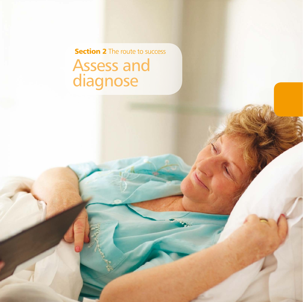Assess and diagnose **Section 2** The route to success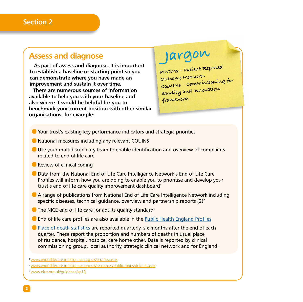### **Assess and diagnose**

**As part of assess and diagnose, it is important to establish a baseline or starting point so you can demonstrate where you have made an improvement and sustain it over time.**

**There are numerous sources of information available to help you with your baseline and also where it would be helpful for you to benchmark your current position with other similar organisations, for example:**

# **Jargon**

**PROMs – Patient Reported Outcome Measures CQUINs – Commissioning for Quality and Innovation framework.**

- Your trust's existing key performance indicators and strategic priorities
- National measures including any relevant CQUINS
- $\bullet$  Use your multidisciplinary team to enable identification and overview of complaints related to end of life care
- **Review of clinical coding**
- Data from the National End of Life Care Intelligence Network's End of Life Care Profiles will inform how you are doing to enable you to prioritise and develop your trust's end of life care quality improvement dashboard<sup>1</sup>
- A range of publications from National End of Life Care Intelligence Network including specific diseases, technical quidance, overview and partnership reports  $(2)^2$
- $\blacksquare$  The NICE end of life care for adults quality standard<sup>3</sup>
- $\bullet$  End of life care profiles are also available in the [Public Health England Profiles](http://fingertips.phe.org.uk/)
- $\bullet$  [Place of death statistics](http://www.endoflifecare-intelligence.org.uk/data_sources/place_of_death) are reported quarterly, six months after the end of each quarter. These report the proportion and numbers of deaths in usual place of residence, hospital, hospice, care home other. Data is reported by clinical commissioning group, local authority, strategic clinical network and for England.

<sup>1</sup>[www.endoflifecare-intelligence.org.uk/profiles.aspx](http://www.endoflifecare-intelligence.org.uk/profiles.aspx)

<sup>2</sup>[www.endoflifecare-intelligence.org.uk/resources/publications/default.aspx](http://www.endoflifecare-intelligence.org.uk/resources/publications/default.aspx)

<sup>3</sup>[www.nice.org.uk/guidance/qs13](http://www.nice.org.uk/guidance/qs13)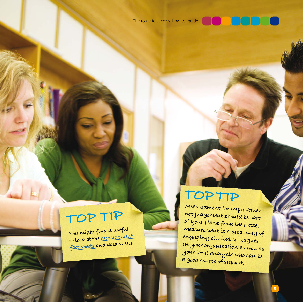

**You might find it useful to look at the [measurement](http://www.nhsiq.nhs.uk/media/2642618/eolc_measuring_experience_of_care.pdf)  [fact s](http://www.nhsiq.nhs.uk/media/2642618/eolc_measuring_experience_of_care.pdf)heets and data sheets.**

## **TOP TIP**

**Measurement for Improvement not judgement should be part of your plans from the outset. Measurement is a great way of engaging clinical colleagues in your organisation as well as your local analysts who can be a good source of support.**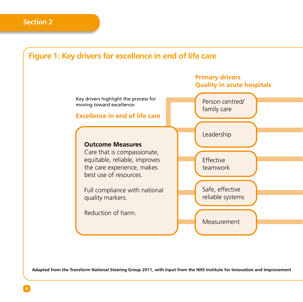### **Figure 1: Key drivers for excellence in end of life care**



**Adapted from the Transform National Steering Group 2011, with input from the NHS Institute for Innovation and Improvement**